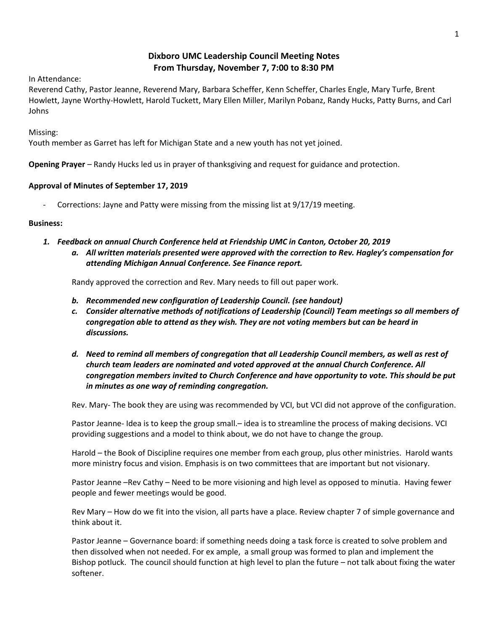# **Dixboro UMC Leadership Council Meeting Notes From Thursday, November 7, 7:00 to 8:30 PM**

In Attendance:

Reverend Cathy, Pastor Jeanne, Reverend Mary, Barbara Scheffer, Kenn Scheffer, Charles Engle, Mary Turfe, Brent Howlett, Jayne Worthy-Howlett, Harold Tuckett, Mary Ellen Miller, Marilyn Pobanz, Randy Hucks, Patty Burns, and Carl Johns

Missing:

Youth member as Garret has left for Michigan State and a new youth has not yet joined.

**Opening Prayer** – Randy Hucks led us in prayer of thanksgiving and request for guidance and protection.

### **Approval of Minutes of September 17, 2019**

Corrections: Jayne and Patty were missing from the missing list at 9/17/19 meeting.

### **Business:**

- *1. Feedback on annual Church Conference held at Friendship UMC in Canton, October 20, 2019*
	- *a. All written materials presented were approved with the correction to Rev. Hagley's compensation for attending Michigan Annual Conference. See Finance report.*

Randy approved the correction and Rev. Mary needs to fill out paper work.

- *b. Recommended new configuration of Leadership Council. (see handout)*
- *c. Consider alternative methods of notifications of Leadership (Council) Team meetings so all members of congregation able to attend as they wish. They are not voting members but can be heard in discussions.*
- *d. Need to remind all members of congregation that all Leadership Council members, as well as rest of church team leaders are nominated and voted approved at the annual Church Conference. All congregation members invited to Church Conference and have opportunity to vote. This should be put in minutes as one way of reminding congregation.*

Rev. Mary- The book they are using was recommended by VCI, but VCI did not approve of the configuration.

Pastor Jeanne- Idea is to keep the group small.– idea is to streamline the process of making decisions. VCI providing suggestions and a model to think about, we do not have to change the group.

Harold – the Book of Discipline requires one member from each group, plus other ministries. Harold wants more ministry focus and vision. Emphasis is on two committees that are important but not visionary.

Pastor Jeanne –Rev Cathy – Need to be more visioning and high level as opposed to minutia. Having fewer people and fewer meetings would be good.

Rev Mary – How do we fit into the vision, all parts have a place. Review chapter 7 of simple governance and think about it.

Pastor Jeanne – Governance board: if something needs doing a task force is created to solve problem and then dissolved when not needed. For ex ample, a small group was formed to plan and implement the Bishop potluck. The council should function at high level to plan the future – not talk about fixing the water softener.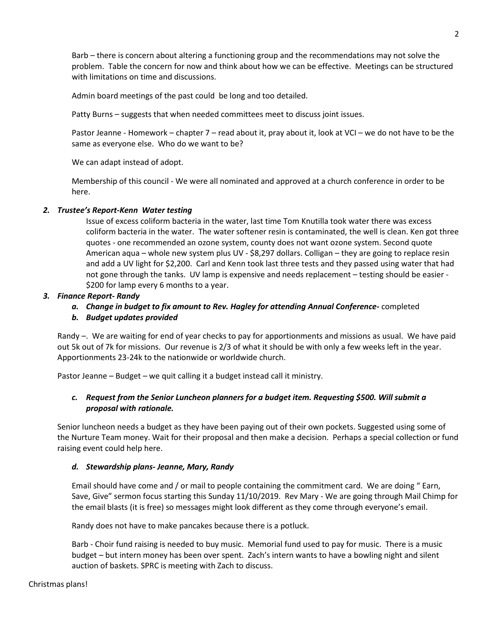Barb – there is concern about altering a functioning group and the recommendations may not solve the problem. Table the concern for now and think about how we can be effective. Meetings can be structured with limitations on time and discussions.

Admin board meetings of the past could be long and too detailed.

Patty Burns – suggests that when needed committees meet to discuss joint issues.

Pastor Jeanne - Homework – chapter 7 – read about it, pray about it, look at VCI – we do not have to be the same as everyone else. Who do we want to be?

We can adapt instead of adopt.

Membership of this council - We were all nominated and approved at a church conference in order to be here.

## *2. Trustee's Report-Kenn Water testing*

Issue of excess coliform bacteria in the water, last time Tom Knutilla took water there was excess coliform bacteria in the water. The water softener resin is contaminated, the well is clean. Ken got three quotes - one recommended an ozone system, county does not want ozone system. Second quote American aqua – whole new system plus UV - \$8,297 dollars. Colligan – they are going to replace resin and add a UV light for \$2,200. Carl and Kenn took last three tests and they passed using water that had not gone through the tanks. UV lamp is expensive and needs replacement – testing should be easier - \$200 for lamp every 6 months to a year.

## *3. Finance Report- Randy*

*a. Change in budget to fix amount to Rev. Hagley for attending Annual Conference-* completed

### *b. Budget updates provided*

Randy –. We are waiting for end of year checks to pay for apportionments and missions as usual. We have paid out 5k out of 7k for missions. Our revenue is 2/3 of what it should be with only a few weeks left in the year. Apportionments 23-24k to the nationwide or worldwide church.

Pastor Jeanne – Budget – we quit calling it a budget instead call it ministry.

## *c. Request from the Senior Luncheon planners for a budget item. Requesting \$500. Will submit a proposal with rationale.*

Senior luncheon needs a budget as they have been paying out of their own pockets. Suggested using some of the Nurture Team money. Wait for their proposal and then make a decision. Perhaps a special collection or fund raising event could help here.

### *d. Stewardship plans- Jeanne, Mary, Randy*

Email should have come and / or mail to people containing the commitment card. We are doing " Earn, Save, Give" sermon focus starting this Sunday 11/10/2019. Rev Mary - We are going through Mail Chimp for the email blasts (it is free) so messages might look different as they come through everyone's email.

Randy does not have to make pancakes because there is a potluck.

Barb - Choir fund raising is needed to buy music. Memorial fund used to pay for music. There is a music budget – but intern money has been over spent. Zach's intern wants to have a bowling night and silent auction of baskets. SPRC is meeting with Zach to discuss.